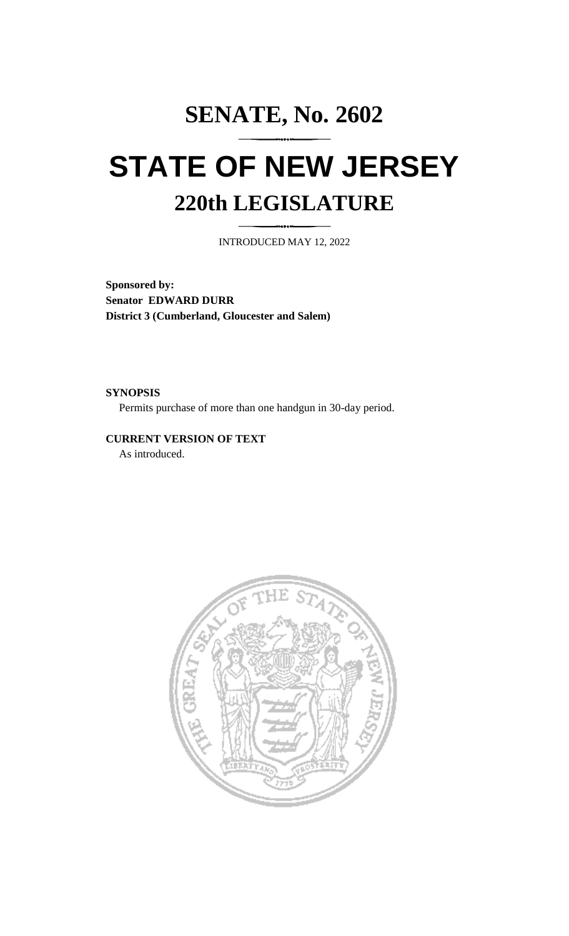# **SENATE, No. 2602 STATE OF NEW JERSEY 220th LEGISLATURE**

INTRODUCED MAY 12, 2022

**Sponsored by: Senator EDWARD DURR District 3 (Cumberland, Gloucester and Salem)**

**SYNOPSIS**

Permits purchase of more than one handgun in 30-day period.

**CURRENT VERSION OF TEXT**  As introduced.

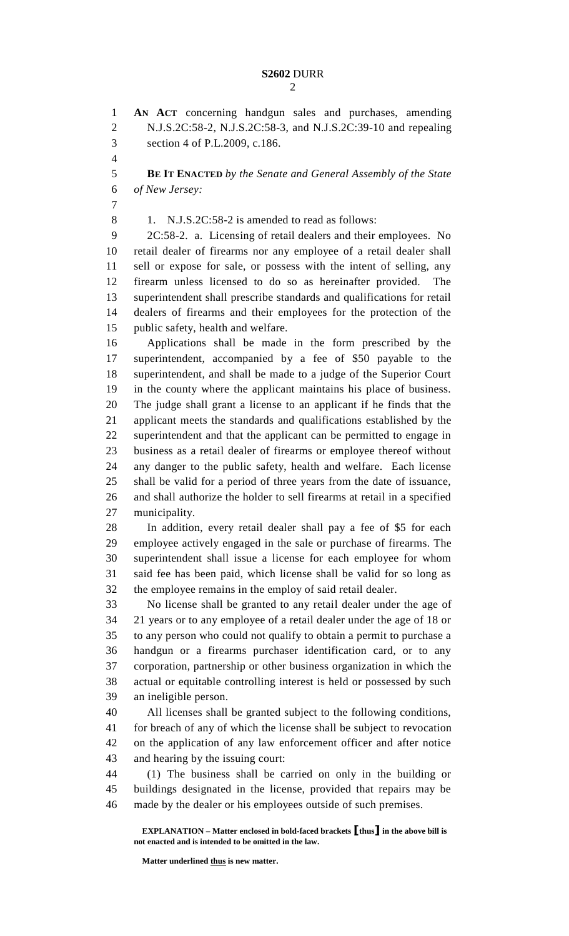**AN ACT** concerning handgun sales and purchases, amending N.J.S.2C:58-2, N.J.S.2C:58-3, and N.J.S.2C:39-10 and repealing section 4 of P.L.2009, c.186.

 **BE IT ENACTED** *by the Senate and General Assembly of the State of New Jersey:*

8 1. N.J.S.2C:58-2 is amended to read as follows:

 2C:58-2. a. Licensing of retail dealers and their employees. No retail dealer of firearms nor any employee of a retail dealer shall sell or expose for sale, or possess with the intent of selling, any firearm unless licensed to do so as hereinafter provided. The superintendent shall prescribe standards and qualifications for retail dealers of firearms and their employees for the protection of the public safety, health and welfare.

 Applications shall be made in the form prescribed by the superintendent, accompanied by a fee of \$50 payable to the superintendent, and shall be made to a judge of the Superior Court in the county where the applicant maintains his place of business. The judge shall grant a license to an applicant if he finds that the applicant meets the standards and qualifications established by the superintendent and that the applicant can be permitted to engage in business as a retail dealer of firearms or employee thereof without any danger to the public safety, health and welfare. Each license shall be valid for a period of three years from the date of issuance, and shall authorize the holder to sell firearms at retail in a specified municipality.

 In addition, every retail dealer shall pay a fee of \$5 for each employee actively engaged in the sale or purchase of firearms. The superintendent shall issue a license for each employee for whom said fee has been paid, which license shall be valid for so long as the employee remains in the employ of said retail dealer.

 No license shall be granted to any retail dealer under the age of 21 years or to any employee of a retail dealer under the age of 18 or to any person who could not qualify to obtain a permit to purchase a handgun or a firearms purchaser identification card, or to any corporation, partnership or other business organization in which the actual or equitable controlling interest is held or possessed by such an ineligible person.

 All licenses shall be granted subject to the following conditions, for breach of any of which the license shall be subject to revocation on the application of any law enforcement officer and after notice and hearing by the issuing court:

 (1) The business shall be carried on only in the building or buildings designated in the license, provided that repairs may be made by the dealer or his employees outside of such premises.

**EXPLANATION – Matter enclosed in bold-faced brackets [thus] in the above bill is not enacted and is intended to be omitted in the law.**

**Matter underlined thus is new matter.**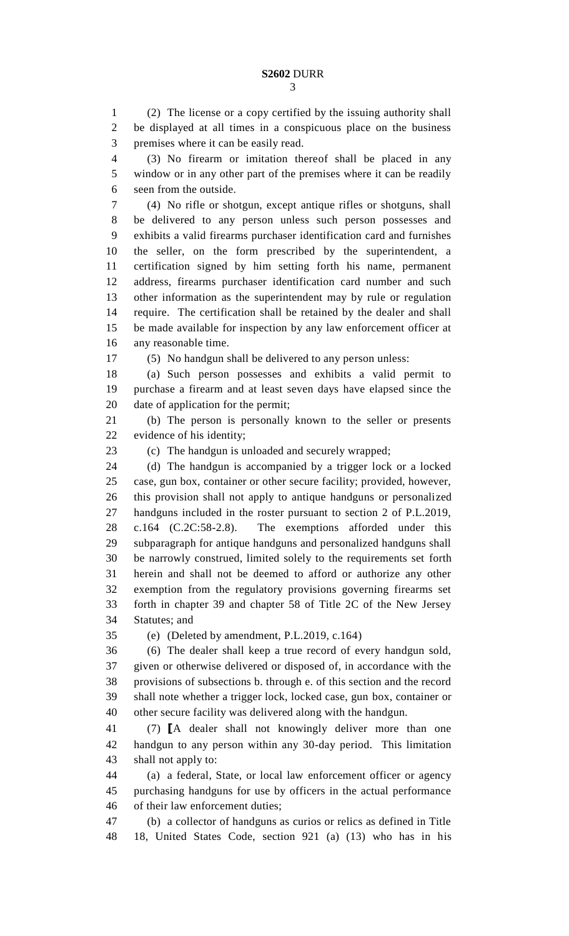(2) The license or a copy certified by the issuing authority shall be displayed at all times in a conspicuous place on the business premises where it can be easily read.

 (3) No firearm or imitation thereof shall be placed in any window or in any other part of the premises where it can be readily seen from the outside.

 (4) No rifle or shotgun, except antique rifles or shotguns, shall be delivered to any person unless such person possesses and exhibits a valid firearms purchaser identification card and furnishes the seller, on the form prescribed by the superintendent, a certification signed by him setting forth his name, permanent address, firearms purchaser identification card number and such other information as the superintendent may by rule or regulation require. The certification shall be retained by the dealer and shall be made available for inspection by any law enforcement officer at any reasonable time.

(5) No handgun shall be delivered to any person unless:

 (a) Such person possesses and exhibits a valid permit to purchase a firearm and at least seven days have elapsed since the date of application for the permit;

 (b) The person is personally known to the seller or presents evidence of his identity;

(c) The handgun is unloaded and securely wrapped;

 (d) The handgun is accompanied by a trigger lock or a locked case, gun box, container or other secure facility; provided, however, this provision shall not apply to antique handguns or personalized handguns included in the roster pursuant to section 2 of P.L.2019, c.164 (C.2C:58-2.8). The exemptions afforded under this subparagraph for antique handguns and personalized handguns shall be narrowly construed, limited solely to the requirements set forth herein and shall not be deemed to afford or authorize any other exemption from the regulatory provisions governing firearms set forth in chapter 39 and chapter 58 of Title 2C of the New Jersey Statutes; and

(e) (Deleted by amendment, P.L.2019, c.164)

 (6) The dealer shall keep a true record of every handgun sold, given or otherwise delivered or disposed of, in accordance with the provisions of subsections b. through e. of this section and the record shall note whether a trigger lock, locked case, gun box, container or other secure facility was delivered along with the handgun.

 (7) **[**A dealer shall not knowingly deliver more than one handgun to any person within any 30-day period. This limitation shall not apply to:

 (a) a federal, State, or local law enforcement officer or agency purchasing handguns for use by officers in the actual performance of their law enforcement duties;

 (b) a collector of handguns as curios or relics as defined in Title 18, United States Code, section 921 (a) (13) who has in his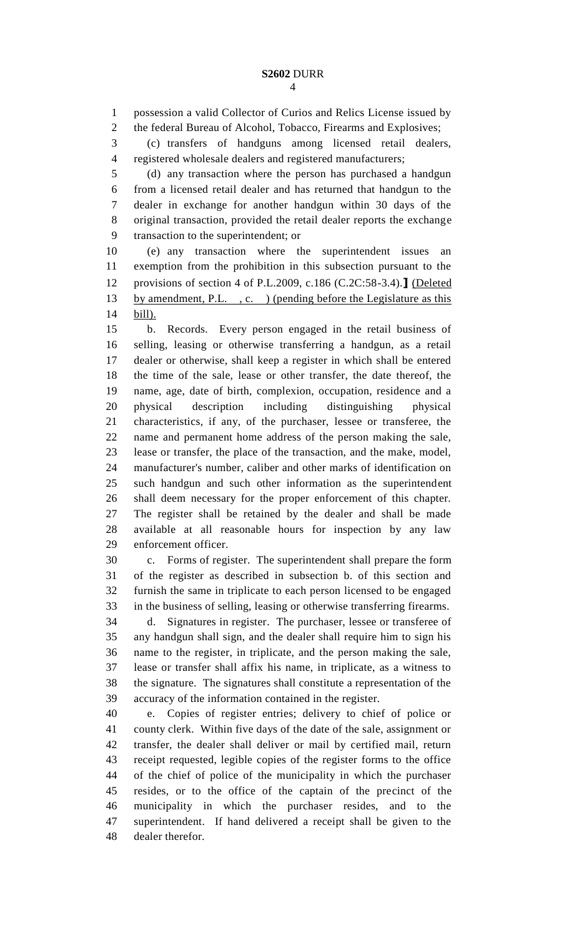possession a valid Collector of Curios and Relics License issued by the federal Bureau of Alcohol, Tobacco, Firearms and Explosives;

 (c) transfers of handguns among licensed retail dealers, registered wholesale dealers and registered manufacturers;

 (d) any transaction where the person has purchased a handgun from a licensed retail dealer and has returned that handgun to the dealer in exchange for another handgun within 30 days of the original transaction, provided the retail dealer reports the exchange transaction to the superintendent; or

 (e) any transaction where the superintendent issues an exemption from the prohibition in this subsection pursuant to the provisions of section 4 of P.L.2009, c.186 (C.2C:58-3.4).**]** (Deleted by amendment, P.L. , c. ) (pending before the Legislature as this bill).

 b. Records. Every person engaged in the retail business of selling, leasing or otherwise transferring a handgun, as a retail dealer or otherwise, shall keep a register in which shall be entered the time of the sale, lease or other transfer, the date thereof, the name, age, date of birth, complexion, occupation, residence and a physical description including distinguishing physical characteristics, if any, of the purchaser, lessee or transferee, the name and permanent home address of the person making the sale, lease or transfer, the place of the transaction, and the make, model, manufacturer's number, caliber and other marks of identification on such handgun and such other information as the superintendent shall deem necessary for the proper enforcement of this chapter. The register shall be retained by the dealer and shall be made available at all reasonable hours for inspection by any law enforcement officer.

 c. Forms of register. The superintendent shall prepare the form of the register as described in subsection b. of this section and furnish the same in triplicate to each person licensed to be engaged in the business of selling, leasing or otherwise transferring firearms.

 d. Signatures in register. The purchaser, lessee or transferee of any handgun shall sign, and the dealer shall require him to sign his name to the register, in triplicate, and the person making the sale, lease or transfer shall affix his name, in triplicate, as a witness to the signature. The signatures shall constitute a representation of the accuracy of the information contained in the register.

 e. Copies of register entries; delivery to chief of police or county clerk. Within five days of the date of the sale, assignment or transfer, the dealer shall deliver or mail by certified mail, return receipt requested, legible copies of the register forms to the office of the chief of police of the municipality in which the purchaser resides, or to the office of the captain of the precinct of the municipality in which the purchaser resides, and to the superintendent. If hand delivered a receipt shall be given to the dealer therefor.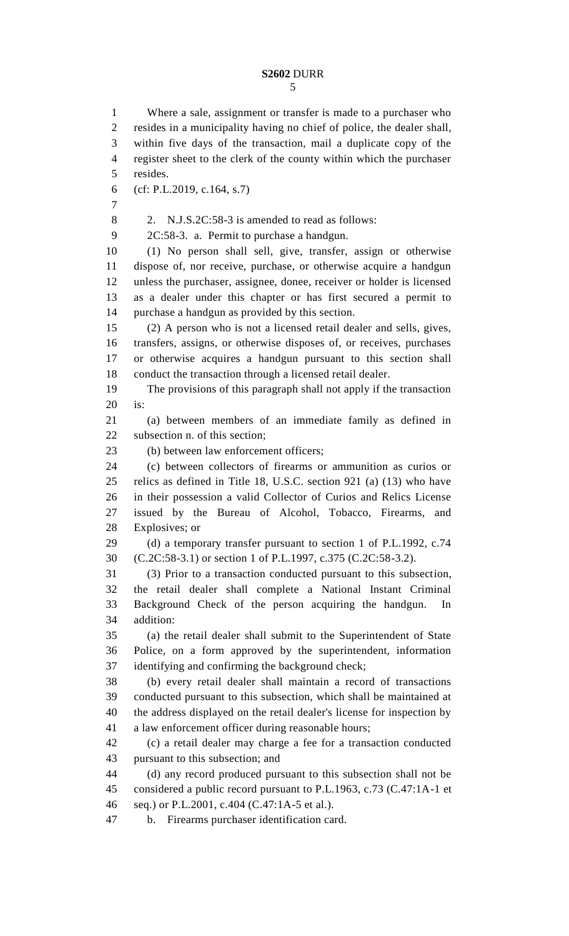Where a sale, assignment or transfer is made to a purchaser who resides in a municipality having no chief of police, the dealer shall, within five days of the transaction, mail a duplicate copy of the register sheet to the clerk of the county within which the purchaser resides. (cf: P.L.2019, c.164, s.7) 2. N.J.S.2C:58-3 is amended to read as follows: 2C:58-3. a. Permit to purchase a handgun. (1) No person shall sell, give, transfer, assign or otherwise dispose of, nor receive, purchase, or otherwise acquire a handgun unless the purchaser, assignee, donee, receiver or holder is licensed as a dealer under this chapter or has first secured a permit to purchase a handgun as provided by this section. (2) A person who is not a licensed retail dealer and sells, gives, transfers, assigns, or otherwise disposes of, or receives, purchases or otherwise acquires a handgun pursuant to this section shall conduct the transaction through a licensed retail dealer. The provisions of this paragraph shall not apply if the transaction is: (a) between members of an immediate family as defined in subsection n. of this section; (b) between law enforcement officers; (c) between collectors of firearms or ammunition as curios or relics as defined in Title 18, U.S.C. section 921 (a) (13) who have in their possession a valid Collector of Curios and Relics License issued by the Bureau of Alcohol, Tobacco, Firearms, and Explosives; or (d) a temporary transfer pursuant to section 1 of P.L.1992, c.74 (C.2C:58-3.1) or section 1 of P.L.1997, c.375 (C.2C:58-3.2). (3) Prior to a transaction conducted pursuant to this subsection, the retail dealer shall complete a National Instant Criminal Background Check of the person acquiring the handgun. In addition: (a) the retail dealer shall submit to the Superintendent of State Police, on a form approved by the superintendent, information identifying and confirming the background check; (b) every retail dealer shall maintain a record of transactions conducted pursuant to this subsection, which shall be maintained at the address displayed on the retail dealer's license for inspection by a law enforcement officer during reasonable hours; (c) a retail dealer may charge a fee for a transaction conducted pursuant to this subsection; and (d) any record produced pursuant to this subsection shall not be considered a public record pursuant to P.L.1963, c.73 (C.47:1A-1 et seq.) or P.L.2001, c.404 (C.47:1A-5 et al.). b. Firearms purchaser identification card.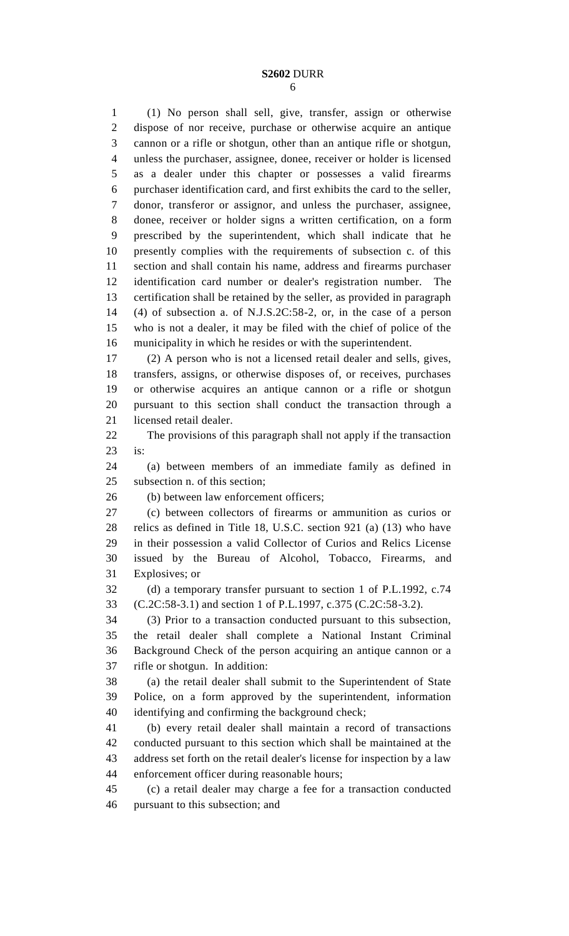(1) No person shall sell, give, transfer, assign or otherwise dispose of nor receive, purchase or otherwise acquire an antique cannon or a rifle or shotgun, other than an antique rifle or shotgun, unless the purchaser, assignee, donee, receiver or holder is licensed as a dealer under this chapter or possesses a valid firearms purchaser identification card, and first exhibits the card to the seller, donor, transferor or assignor, and unless the purchaser, assignee, donee, receiver or holder signs a written certification, on a form prescribed by the superintendent, which shall indicate that he presently complies with the requirements of subsection c. of this section and shall contain his name, address and firearms purchaser identification card number or dealer's registration number. The certification shall be retained by the seller, as provided in paragraph (4) of subsection a. of N.J.S.2C:58-2, or, in the case of a person who is not a dealer, it may be filed with the chief of police of the municipality in which he resides or with the superintendent.

 (2) A person who is not a licensed retail dealer and sells, gives, transfers, assigns, or otherwise disposes of, or receives, purchases or otherwise acquires an antique cannon or a rifle or shotgun pursuant to this section shall conduct the transaction through a licensed retail dealer.

 The provisions of this paragraph shall not apply if the transaction is:

 (a) between members of an immediate family as defined in subsection n. of this section;

(b) between law enforcement officers;

 (c) between collectors of firearms or ammunition as curios or relics as defined in Title 18, U.S.C. section 921 (a) (13) who have in their possession a valid Collector of Curios and Relics License issued by the Bureau of Alcohol, Tobacco, Firearms, and Explosives; or

 (d) a temporary transfer pursuant to section 1 of P.L.1992, c.74 (C.2C:58-3.1) and section 1 of P.L.1997, c.375 (C.2C:58-3.2).

 (3) Prior to a transaction conducted pursuant to this subsection, the retail dealer shall complete a National Instant Criminal Background Check of the person acquiring an antique cannon or a rifle or shotgun. In addition:

 (a) the retail dealer shall submit to the Superintendent of State Police, on a form approved by the superintendent, information identifying and confirming the background check;

 (b) every retail dealer shall maintain a record of transactions conducted pursuant to this section which shall be maintained at the address set forth on the retail dealer's license for inspection by a law enforcement officer during reasonable hours;

 (c) a retail dealer may charge a fee for a transaction conducted pursuant to this subsection; and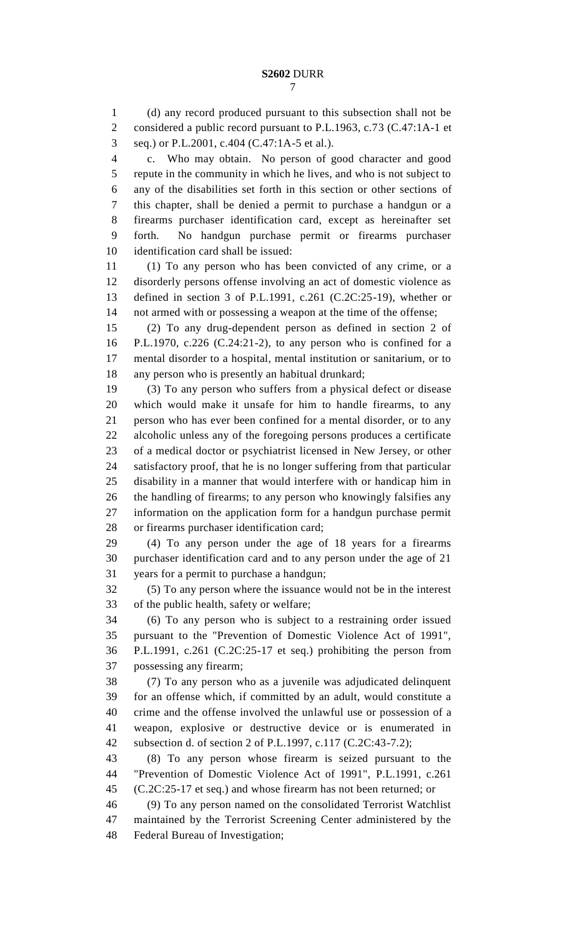(d) any record produced pursuant to this subsection shall not be considered a public record pursuant to P.L.1963, c.73 (C.47:1A-1 et seq.) or P.L.2001, c.404 (C.47:1A-5 et al.).

 c. Who may obtain. No person of good character and good repute in the community in which he lives, and who is not subject to any of the disabilities set forth in this section or other sections of this chapter, shall be denied a permit to purchase a handgun or a firearms purchaser identification card, except as hereinafter set forth. No handgun purchase permit or firearms purchaser identification card shall be issued:

 (1) To any person who has been convicted of any crime, or a disorderly persons offense involving an act of domestic violence as defined in section 3 of P.L.1991, c.261 (C.2C:25-19), whether or not armed with or possessing a weapon at the time of the offense;

 (2) To any drug-dependent person as defined in section 2 of P.L.1970, c.226 (C.24:21-2), to any person who is confined for a mental disorder to a hospital, mental institution or sanitarium, or to any person who is presently an habitual drunkard;

 (3) To any person who suffers from a physical defect or disease which would make it unsafe for him to handle firearms, to any person who has ever been confined for a mental disorder, or to any alcoholic unless any of the foregoing persons produces a certificate of a medical doctor or psychiatrist licensed in New Jersey, or other satisfactory proof, that he is no longer suffering from that particular disability in a manner that would interfere with or handicap him in the handling of firearms; to any person who knowingly falsifies any information on the application form for a handgun purchase permit or firearms purchaser identification card;

 (4) To any person under the age of 18 years for a firearms purchaser identification card and to any person under the age of 21 years for a permit to purchase a handgun;

 (5) To any person where the issuance would not be in the interest of the public health, safety or welfare;

 (6) To any person who is subject to a restraining order issued pursuant to the "Prevention of Domestic Violence Act of 1991", P.L.1991, c.261 (C.2C:25-17 et seq.) prohibiting the person from possessing any firearm;

 (7) To any person who as a juvenile was adjudicated delinquent for an offense which, if committed by an adult, would constitute a crime and the offense involved the unlawful use or possession of a weapon, explosive or destructive device or is enumerated in subsection d. of section 2 of P.L.1997, c.117 (C.2C:43-7.2);

 (8) To any person whose firearm is seized pursuant to the "Prevention of Domestic Violence Act of 1991", P.L.1991, c.261 (C.2C:25-17 et seq.) and whose firearm has not been returned; or

 (9) To any person named on the consolidated Terrorist Watchlist maintained by the Terrorist Screening Center administered by the Federal Bureau of Investigation;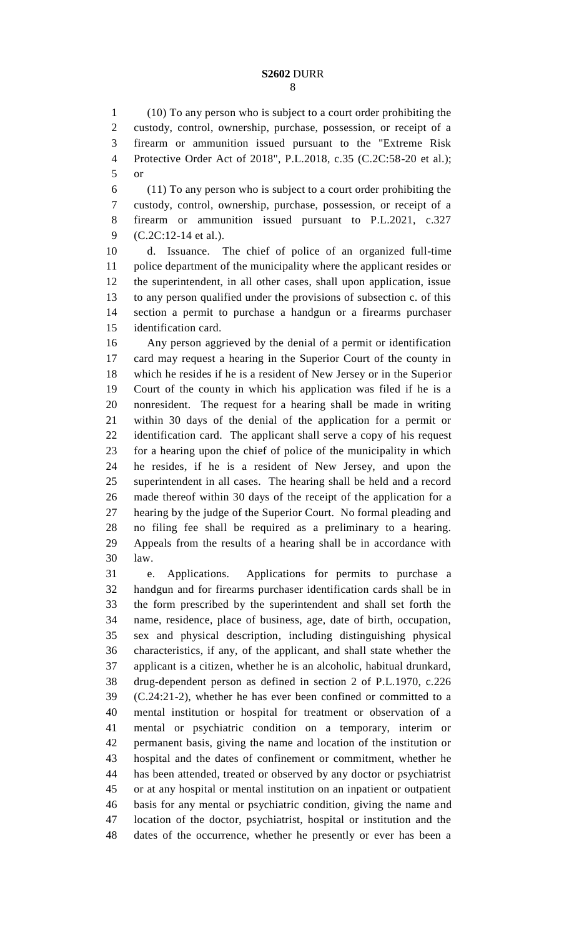(10) To any person who is subject to a court order prohibiting the custody, control, ownership, purchase, possession, or receipt of a firearm or ammunition issued pursuant to the "Extreme Risk Protective Order Act of 2018", P.L.2018, c.35 (C.2C:58-20 et al.); or

 (11) To any person who is subject to a court order prohibiting the custody, control, ownership, purchase, possession, or receipt of a firearm or ammunition issued pursuant to P.L.2021, c.327 (C.2C:12-14 et al.).

 d. Issuance. The chief of police of an organized full-time police department of the municipality where the applicant resides or the superintendent, in all other cases, shall upon application, issue to any person qualified under the provisions of subsection c. of this section a permit to purchase a handgun or a firearms purchaser identification card.

 Any person aggrieved by the denial of a permit or identification card may request a hearing in the Superior Court of the county in which he resides if he is a resident of New Jersey or in the Superior Court of the county in which his application was filed if he is a nonresident. The request for a hearing shall be made in writing within 30 days of the denial of the application for a permit or identification card. The applicant shall serve a copy of his request for a hearing upon the chief of police of the municipality in which he resides, if he is a resident of New Jersey, and upon the superintendent in all cases. The hearing shall be held and a record made thereof within 30 days of the receipt of the application for a hearing by the judge of the Superior Court. No formal pleading and no filing fee shall be required as a preliminary to a hearing. Appeals from the results of a hearing shall be in accordance with law.

 e. Applications. Applications for permits to purchase a handgun and for firearms purchaser identification cards shall be in the form prescribed by the superintendent and shall set forth the name, residence, place of business, age, date of birth, occupation, sex and physical description, including distinguishing physical characteristics, if any, of the applicant, and shall state whether the applicant is a citizen, whether he is an alcoholic, habitual drunkard, drug-dependent person as defined in section 2 of P.L.1970, c.226 (C.24:21-2), whether he has ever been confined or committed to a mental institution or hospital for treatment or observation of a mental or psychiatric condition on a temporary, interim or permanent basis, giving the name and location of the institution or hospital and the dates of confinement or commitment, whether he has been attended, treated or observed by any doctor or psychiatrist or at any hospital or mental institution on an inpatient or outpatient basis for any mental or psychiatric condition, giving the name and location of the doctor, psychiatrist, hospital or institution and the dates of the occurrence, whether he presently or ever has been a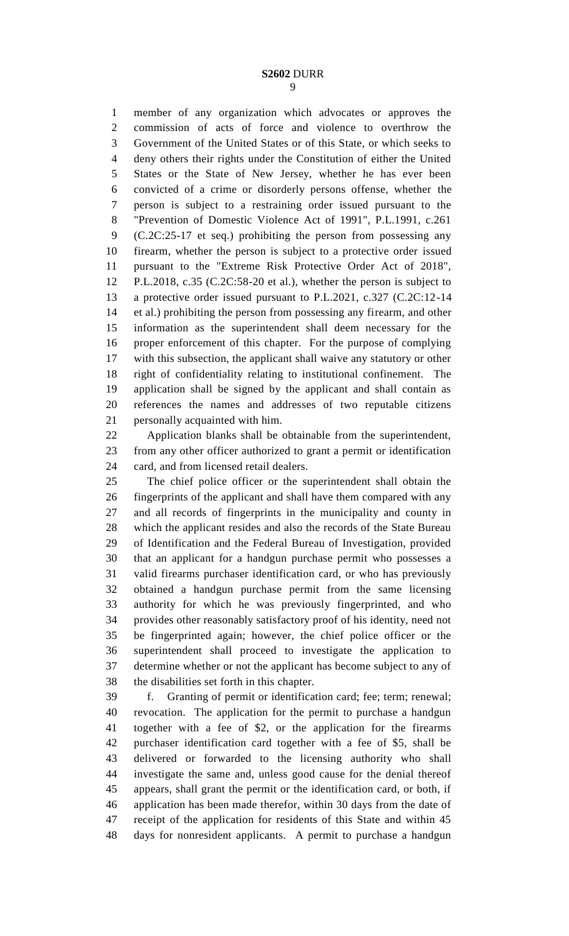member of any organization which advocates or approves the commission of acts of force and violence to overthrow the Government of the United States or of this State, or which seeks to deny others their rights under the Constitution of either the United States or the State of New Jersey, whether he has ever been convicted of a crime or disorderly persons offense, whether the person is subject to a restraining order issued pursuant to the "Prevention of Domestic Violence Act of 1991", P.L.1991, c.261 (C.2C:25-17 et seq.) prohibiting the person from possessing any firearm, whether the person is subject to a protective order issued pursuant to the "Extreme Risk Protective Order Act of 2018", P.L.2018, c.35 (C.2C:58-20 et al.), whether the person is subject to a protective order issued pursuant to P.L.2021, c.327 (C.2C:12-14 et al.) prohibiting the person from possessing any firearm, and other information as the superintendent shall deem necessary for the proper enforcement of this chapter. For the purpose of complying with this subsection, the applicant shall waive any statutory or other right of confidentiality relating to institutional confinement. The application shall be signed by the applicant and shall contain as references the names and addresses of two reputable citizens personally acquainted with him.

 Application blanks shall be obtainable from the superintendent, from any other officer authorized to grant a permit or identification card, and from licensed retail dealers.

 The chief police officer or the superintendent shall obtain the fingerprints of the applicant and shall have them compared with any and all records of fingerprints in the municipality and county in which the applicant resides and also the records of the State Bureau of Identification and the Federal Bureau of Investigation, provided that an applicant for a handgun purchase permit who possesses a valid firearms purchaser identification card, or who has previously obtained a handgun purchase permit from the same licensing authority for which he was previously fingerprinted, and who provides other reasonably satisfactory proof of his identity, need not be fingerprinted again; however, the chief police officer or the superintendent shall proceed to investigate the application to determine whether or not the applicant has become subject to any of the disabilities set forth in this chapter.

 f. Granting of permit or identification card; fee; term; renewal; revocation. The application for the permit to purchase a handgun together with a fee of \$2, or the application for the firearms purchaser identification card together with a fee of \$5, shall be delivered or forwarded to the licensing authority who shall investigate the same and, unless good cause for the denial thereof appears, shall grant the permit or the identification card, or both, if application has been made therefor, within 30 days from the date of receipt of the application for residents of this State and within 45 days for nonresident applicants. A permit to purchase a handgun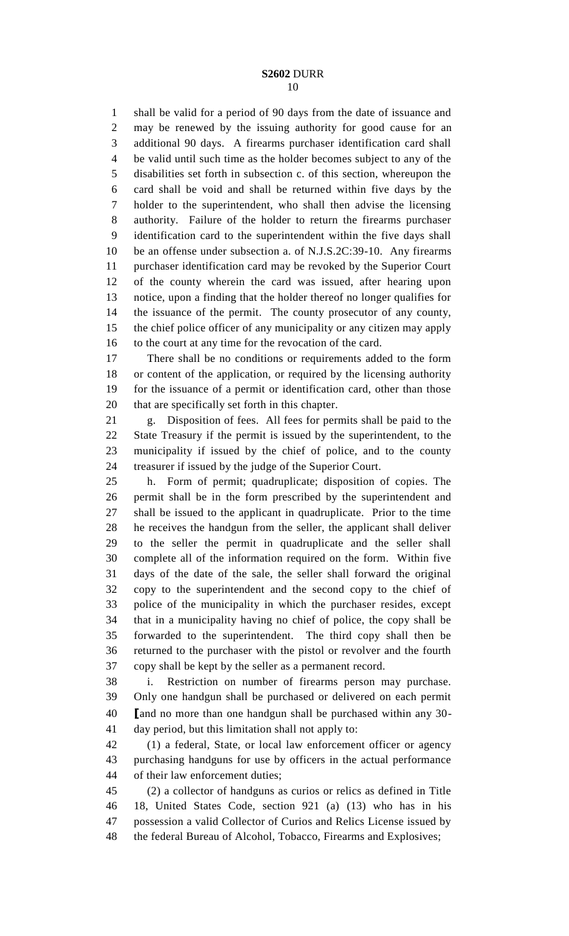shall be valid for a period of 90 days from the date of issuance and may be renewed by the issuing authority for good cause for an additional 90 days. A firearms purchaser identification card shall be valid until such time as the holder becomes subject to any of the disabilities set forth in subsection c. of this section, whereupon the card shall be void and shall be returned within five days by the holder to the superintendent, who shall then advise the licensing authority. Failure of the holder to return the firearms purchaser identification card to the superintendent within the five days shall be an offense under subsection a. of N.J.S.2C:39-10. Any firearms purchaser identification card may be revoked by the Superior Court of the county wherein the card was issued, after hearing upon notice, upon a finding that the holder thereof no longer qualifies for the issuance of the permit. The county prosecutor of any county, the chief police officer of any municipality or any citizen may apply to the court at any time for the revocation of the card.

 There shall be no conditions or requirements added to the form or content of the application, or required by the licensing authority for the issuance of a permit or identification card, other than those that are specifically set forth in this chapter.

 g. Disposition of fees. All fees for permits shall be paid to the State Treasury if the permit is issued by the superintendent, to the municipality if issued by the chief of police, and to the county treasurer if issued by the judge of the Superior Court.

 h. Form of permit; quadruplicate; disposition of copies. The permit shall be in the form prescribed by the superintendent and shall be issued to the applicant in quadruplicate. Prior to the time he receives the handgun from the seller, the applicant shall deliver to the seller the permit in quadruplicate and the seller shall complete all of the information required on the form. Within five days of the date of the sale, the seller shall forward the original copy to the superintendent and the second copy to the chief of police of the municipality in which the purchaser resides, except that in a municipality having no chief of police, the copy shall be forwarded to the superintendent. The third copy shall then be returned to the purchaser with the pistol or revolver and the fourth copy shall be kept by the seller as a permanent record.

 i. Restriction on number of firearms person may purchase. Only one handgun shall be purchased or delivered on each permit **[**and no more than one handgun shall be purchased within any 30- day period, but this limitation shall not apply to:

 (1) a federal, State, or local law enforcement officer or agency purchasing handguns for use by officers in the actual performance of their law enforcement duties;

 (2) a collector of handguns as curios or relics as defined in Title 18, United States Code, section 921 (a) (13) who has in his possession a valid Collector of Curios and Relics License issued by the federal Bureau of Alcohol, Tobacco, Firearms and Explosives;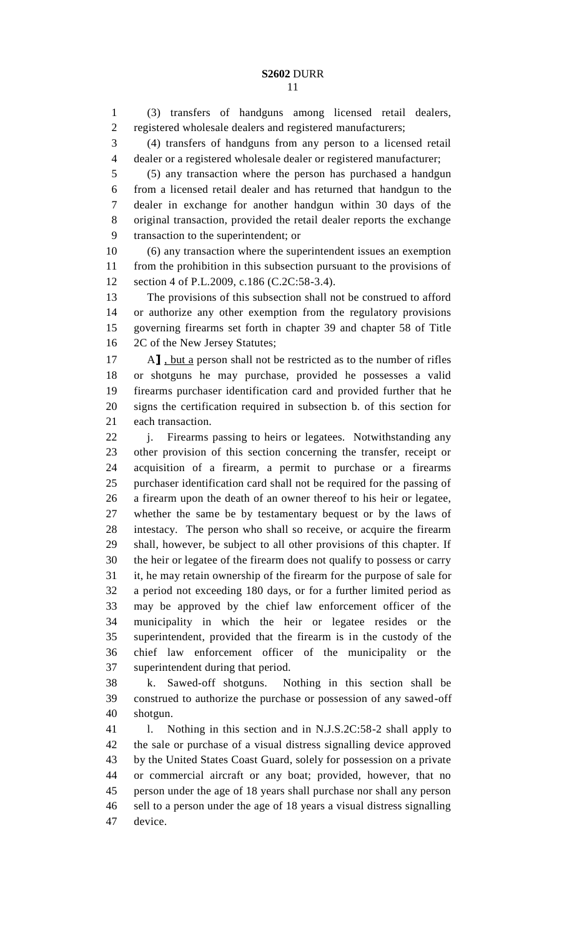(3) transfers of handguns among licensed retail dealers, registered wholesale dealers and registered manufacturers;

 (4) transfers of handguns from any person to a licensed retail dealer or a registered wholesale dealer or registered manufacturer;

 (5) any transaction where the person has purchased a handgun from a licensed retail dealer and has returned that handgun to the dealer in exchange for another handgun within 30 days of the original transaction, provided the retail dealer reports the exchange transaction to the superintendent; or

 (6) any transaction where the superintendent issues an exemption from the prohibition in this subsection pursuant to the provisions of section 4 of P.L.2009, c.186 (C.2C:58-3.4).

 The provisions of this subsection shall not be construed to afford or authorize any other exemption from the regulatory provisions governing firearms set forth in chapter 39 and chapter 58 of Title 2C of the New Jersey Statutes;

17 A] , but a person shall not be restricted as to the number of rifles or shotguns he may purchase, provided he possesses a valid firearms purchaser identification card and provided further that he signs the certification required in subsection b. of this section for each transaction.

 j. Firearms passing to heirs or legatees. Notwithstanding any other provision of this section concerning the transfer, receipt or acquisition of a firearm, a permit to purchase or a firearms purchaser identification card shall not be required for the passing of a firearm upon the death of an owner thereof to his heir or legatee, whether the same be by testamentary bequest or by the laws of intestacy. The person who shall so receive, or acquire the firearm shall, however, be subject to all other provisions of this chapter. If the heir or legatee of the firearm does not qualify to possess or carry it, he may retain ownership of the firearm for the purpose of sale for a period not exceeding 180 days, or for a further limited period as may be approved by the chief law enforcement officer of the municipality in which the heir or legatee resides or the superintendent, provided that the firearm is in the custody of the chief law enforcement officer of the municipality or the superintendent during that period.

 k. Sawed-off shotguns. Nothing in this section shall be construed to authorize the purchase or possession of any sawed-off shotgun.

 l. Nothing in this section and in N.J.S.2C:58-2 shall apply to the sale or purchase of a visual distress signalling device approved by the United States Coast Guard, solely for possession on a private or commercial aircraft or any boat; provided, however, that no person under the age of 18 years shall purchase nor shall any person sell to a person under the age of 18 years a visual distress signalling device.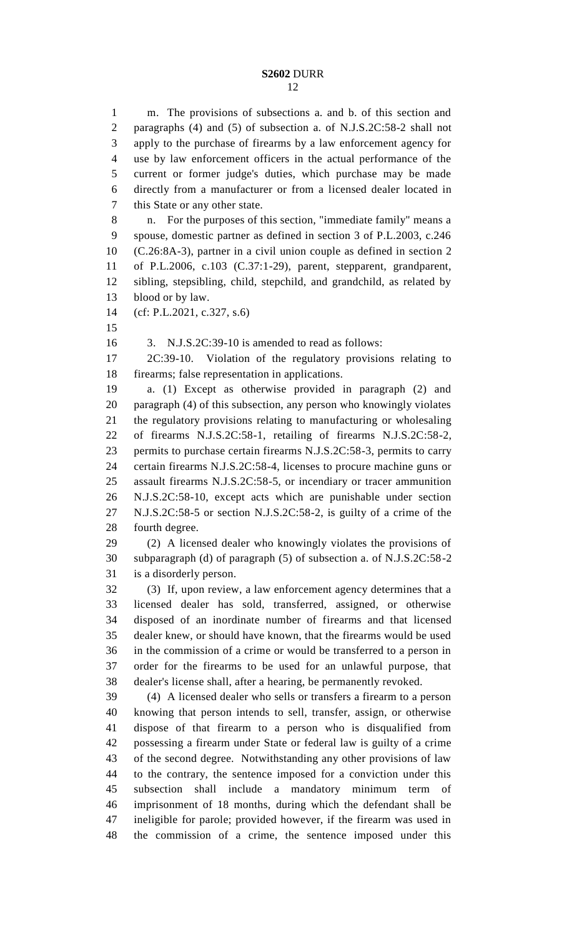m. The provisions of subsections a. and b. of this section and paragraphs (4) and (5) of subsection a. of N.J.S.2C:58-2 shall not apply to the purchase of firearms by a law enforcement agency for use by law enforcement officers in the actual performance of the current or former judge's duties, which purchase may be made directly from a manufacturer or from a licensed dealer located in this State or any other state.

 n. For the purposes of this section, "immediate family" means a spouse, domestic partner as defined in section 3 of P.L.2003, c.246 (C.26:8A-3), partner in a civil union couple as defined in section 2 of P.L.2006, c.103 (C.37:1-29), parent, stepparent, grandparent, sibling, stepsibling, child, stepchild, and grandchild, as related by blood or by law.

(cf: P.L.2021, c.327, s.6)

3. N.J.S.2C:39-10 is amended to read as follows:

 2C:39-10. Violation of the regulatory provisions relating to firearms; false representation in applications.

 a. (1) Except as otherwise provided in paragraph (2) and paragraph (4) of this subsection, any person who knowingly violates the regulatory provisions relating to manufacturing or wholesaling of firearms N.J.S.2C:58-1, retailing of firearms N.J.S.2C:58-2, permits to purchase certain firearms N.J.S.2C:58-3, permits to carry certain firearms N.J.S.2C:58-4, licenses to procure machine guns or assault firearms N.J.S.2C:58-5, or incendiary or tracer ammunition N.J.S.2C:58-10, except acts which are punishable under section N.J.S.2C:58-5 or section N.J.S.2C:58-2, is guilty of a crime of the fourth degree.

 (2) A licensed dealer who knowingly violates the provisions of subparagraph (d) of paragraph (5) of subsection a. of N.J.S.2C:58-2 is a disorderly person.

 (3) If, upon review, a law enforcement agency determines that a licensed dealer has sold, transferred, assigned, or otherwise disposed of an inordinate number of firearms and that licensed dealer knew, or should have known, that the firearms would be used in the commission of a crime or would be transferred to a person in order for the firearms to be used for an unlawful purpose, that dealer's license shall, after a hearing, be permanently revoked.

 (4) A licensed dealer who sells or transfers a firearm to a person knowing that person intends to sell, transfer, assign, or otherwise dispose of that firearm to a person who is disqualified from possessing a firearm under State or federal law is guilty of a crime of the second degree. Notwithstanding any other provisions of law to the contrary, the sentence imposed for a conviction under this subsection shall include a mandatory minimum term of imprisonment of 18 months, during which the defendant shall be ineligible for parole; provided however, if the firearm was used in the commission of a crime, the sentence imposed under this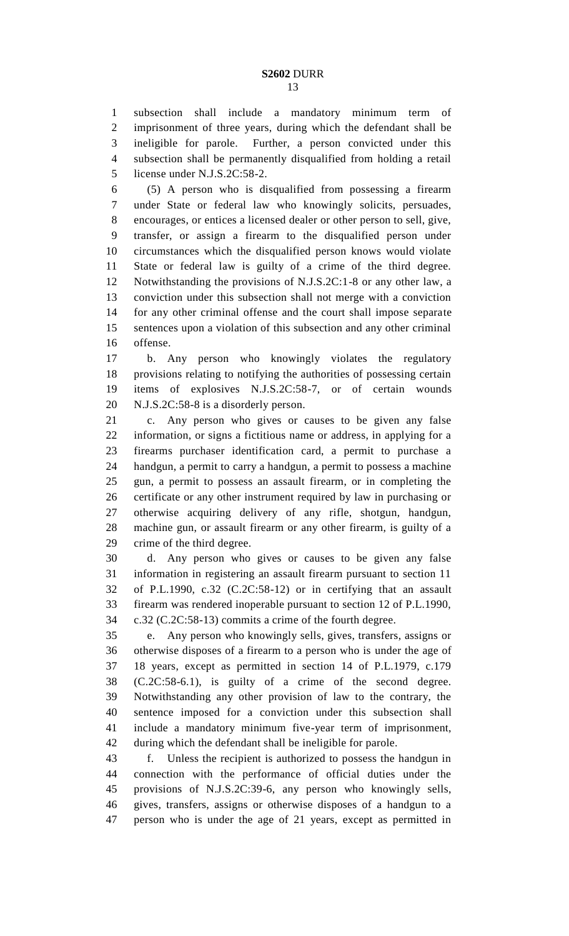subsection shall include a mandatory minimum term of imprisonment of three years, during which the defendant shall be ineligible for parole. Further, a person convicted under this subsection shall be permanently disqualified from holding a retail license under N.J.S.2C:58-2.

 (5) A person who is disqualified from possessing a firearm under State or federal law who knowingly solicits, persuades, encourages, or entices a licensed dealer or other person to sell, give, transfer, or assign a firearm to the disqualified person under circumstances which the disqualified person knows would violate State or federal law is guilty of a crime of the third degree. Notwithstanding the provisions of N.J.S.2C:1-8 or any other law, a conviction under this subsection shall not merge with a conviction for any other criminal offense and the court shall impose separate sentences upon a violation of this subsection and any other criminal offense.

 b. Any person who knowingly violates the regulatory provisions relating to notifying the authorities of possessing certain items of explosives N.J.S.2C:58-7, or of certain wounds N.J.S.2C:58-8 is a disorderly person.

 c. Any person who gives or causes to be given any false information, or signs a fictitious name or address, in applying for a firearms purchaser identification card, a permit to purchase a handgun, a permit to carry a handgun, a permit to possess a machine gun, a permit to possess an assault firearm, or in completing the certificate or any other instrument required by law in purchasing or otherwise acquiring delivery of any rifle, shotgun, handgun, machine gun, or assault firearm or any other firearm, is guilty of a crime of the third degree.

 d. Any person who gives or causes to be given any false information in registering an assault firearm pursuant to section 11 of P.L.1990, c.32 (C.2C:58-12) or in certifying that an assault firearm was rendered inoperable pursuant to section 12 of P.L.1990, c.32 (C.2C:58-13) commits a crime of the fourth degree.

 e. Any person who knowingly sells, gives, transfers, assigns or otherwise disposes of a firearm to a person who is under the age of 18 years, except as permitted in section 14 of P.L.1979, c.179 (C.2C:58-6.1), is guilty of a crime of the second degree. Notwithstanding any other provision of law to the contrary, the sentence imposed for a conviction under this subsection shall include a mandatory minimum five-year term of imprisonment, during which the defendant shall be ineligible for parole.

 f. Unless the recipient is authorized to possess the handgun in connection with the performance of official duties under the provisions of N.J.S.2C:39-6, any person who knowingly sells, gives, transfers, assigns or otherwise disposes of a handgun to a person who is under the age of 21 years, except as permitted in